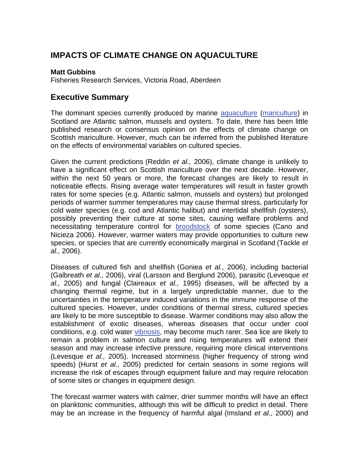# **IMPACTS OF CLIMATE CHANGE ON AQUACULTURE**

#### **Matt Gubbins**

Fisheries Research Services, Victoria Road, Aberdeen

## **Executive Summary**

The dominant species currently produced by marine [aquaculture \(mariculture\)](http://www.mccip.org.uk/arc/glossary.htm) in Scotland are Atlantic salmon, mussels and oysters. To date, there has been little published research or consensus opinion on the effects of climate change on Scottish mariculture. However, much can be inferred from the published literature on the effects of environmental variables on cultured species.

Given the current predictions (Reddin *et al.,* 2006), climate change is unlikely to have a significant effect on Scottish mariculture over the next decade. However, within the next 50 years or more, the forecast changes are likely to result in noticeable effects. Rising average water temperatures will result in faster growth rates for some species (e.g. Atlantic salmon, mussels and oysters) but prolonged periods of warmer summer temperatures may cause thermal stress, particularly for cold water species (e.g. cod and Atlantic halibut) and intertidal shellfish (oysters), possibly preventing their culture at some sites, causing welfare problems and necessitating temperature control for [broodstock](http://www.mccip.org.uk/arc/glossary.htm) of some species (Cano and Nicieza 2006). However, warmer waters may provide opportunities to culture new species, or species that are currently economically marginal in Scotland (Tackle *et al.,* 2006).

Diseases of cultured fish and shellfish (Goniea *et al.,* 2006), including bacterial (Galbreath *et al.,* 2006), viral (Larsson and Berglund 2006), parasitic (Levesque *et al.,* 2005) and fungal (Claireaux *et al.,* 1995) diseases, will be affected by a changing thermal regime, but in a largely unpredictable manner, due to the uncertainties in the temperature induced variations in the immune response of the cultured species. However, under conditions of thermal stress, cultured species are likely to be more susceptible to disease. Warmer conditions may also allow the establishment of exotic diseases, whereas diseases that occur under cool conditions, e.g. cold water [vibriosis,](http://www.mccip.org.uk/arc/glossary.htm) may become much rarer. Sea lice are likely to remain a problem in salmon culture and rising temperatures will extend their season and may increase infective pressure, requiring more clinical interventions (Levesque *et al.,* 2005). Increased storminess (higher frequency of strong wind speeds) (Hurst *et al.,* 2005) predicted for certain seasons in some regions will increase the risk of escapes through equipment failure and may require relocation of some sites or changes in equipment design.

The forecast warmer waters with calmer, drier summer months will have an effect on planktonic communities, although this will be difficult to predict in detail. There may be an increase in the frequency of harmful algal (Imsland *et al.,* 2000) and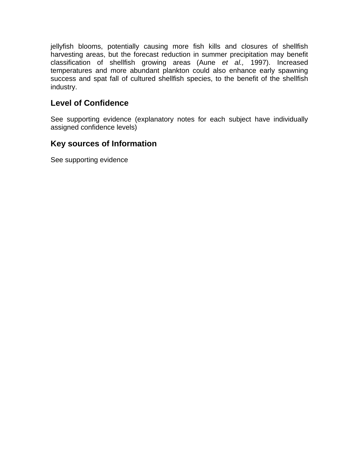jellyfish blooms, potentially causing more fish kills and closures of shellfish harvesting areas, but the forecast reduction in summer precipitation may benefit classification of shellfish growing areas (Aune *et al.,* 1997). Increased temperatures and more abundant plankton could also enhance early spawning success and spat fall of cultured shellfish species, to the benefit of the shellfish industry.

## **Level of Confidence**

See supporting evidence (explanatory notes for each subject have individually assigned confidence levels)

## **Key sources of Information**

See supporting evidence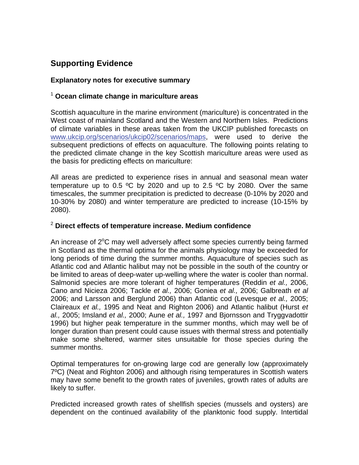# **Supporting Evidence**

#### **Explanatory notes for executive summary**

#### <sup>1</sup> **Ocean climate change in mariculture areas**

Scottish aquaculture in the marine environment (mariculture) is concentrated in the West coast of mainland Scotland and the Western and Northern Isles. Predictions of climate variables in these areas taken from the UKCIP published forecasts on [www.ukcip.org/scenarios/ukcip02/scenarios/maps](http://www.ukcip.org/scenarios/ukcip02/scenarios/maps), were used to derive the subsequent predictions of effects on aquaculture. The following points relating to the predicted climate change in the key Scottish mariculture areas were used as the basis for predicting effects on mariculture:

All areas are predicted to experience rises in annual and seasonal mean water temperature up to 0.5  $\degree$ C by 2020 and up to 2.5  $\degree$ C by 2080. Over the same timescales, the summer precipitation is predicted to decrease (0-10% by 2020 and 10-30% by 2080) and winter temperature are predicted to increase (10-15% by 2080).

#### <sup>2</sup> **Direct effects of temperature increase. Medium confidence**

An increase of  $2^{\circ}$ C may well adversely affect some species currently being farmed in Scotland as the thermal optima for the animals physiology may be exceeded for long periods of time during the summer months. Aquaculture of species such as Atlantic cod and Atlantic halibut may not be possible in the south of the country or be limited to areas of deep-water up-welling where the water is cooler than normal. Salmonid species are more tolerant of higher temperatures (Reddin *et al.,* 2006, Cano and Nicieza 2006; Tackle *et al.,* 2006; Goniea *et al.,* 2006; Galbreath *et al* 2006; and Larsson and Berglund 2006) than Atlantic cod (Levesque *et al.,* 2005; Claireaux *et al.,* 1995 and Neat and Righton 2006) and Atlantic halibut (Hurst *et al.,* 2005; Imsland *et al.,* 2000; Aune *et al.,* 1997 and Bjornsson and Tryggvadottir 1996) but higher peak temperature in the summer months, which may well be of longer duration than present could cause issues with thermal stress and potentially make some sheltered, warmer sites unsuitable for those species during the summer months.

Optimal temperatures for on-growing large cod are generally low (approximately 7ºC) (Neat and Righton 2006) and although rising temperatures in Scottish waters may have some benefit to the growth rates of juveniles, growth rates of adults are likely to suffer.

Predicted increased growth rates of shellfish species (mussels and oysters) are dependent on the continued availability of the planktonic food supply. Intertidal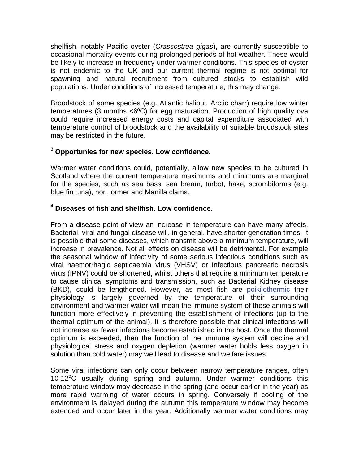shellfish, notably Pacific oyster (*Crassostrea gigas*), are currently susceptible to occasional mortality events during prolonged periods of hot weather. These would be likely to increase in frequency under warmer conditions. This species of oyster is not endemic to the UK and our current thermal regime is not optimal for spawning and natural recruitment from cultured stocks to establish wild populations. Under conditions of increased temperature, this may change.

Broodstock of some species (e.g. Atlantic halibut, Arctic charr) require low winter temperatures (3 months <6ºC) for egg maturation. Production of high quality ova could require increased energy costs and capital expenditure associated with temperature control of broodstock and the availability of suitable broodstock sites may be restricted in the future.

#### <sup>3</sup> **Opportunies for new species. Low confidence.**

Warmer water conditions could, potentially, allow new species to be cultured in Scotland where the current temperature maximums and minimums are marginal for the species, such as sea bass, sea bream, turbot, hake, scrombiforms (e.g. blue fin tuna), nori, ormer and Manilla clams.

## 4  **Diseases of fish and shellfish. Low confidence.**

From a disease point of view an increase in temperature can have many affects. Bacterial, viral and fungal disease will, in general, have shorter generation times. It is possible that some diseases, which transmit above a minimum temperature, will increase in prevalence. Not all effects on disease will be detrimental. For example the seasonal window of infectivity of some serious infectious conditions such as viral haemorrhagic septicaemia virus (VHSV) or Infectious pancreatic necrosis virus (IPNV) could be shortened, whilst others that require a minimum temperature to cause clinical symptoms and transmission, such as Bacterial Kidney disease (BKD), could be lengthened. However, as most fish are [poikilothermic](http://www.mccip.org.uk/arc/glossary.htm) their physiology is largely governed by the temperature of their surrounding environment and warmer water will mean the immune system of these animals will function more effectively in preventing the establishment of infections (up to the thermal optimum of the animal). It is therefore possible that clinical infections will not increase as fewer infections become established in the host. Once the thermal optimum is exceeded, then the function of the immune system will decline and physiological stress and oxygen depletion (warmer water holds less oxygen in solution than cold water) may well lead to disease and welfare issues.

Some viral infections can only occur between narrow temperature ranges, often 10-12°C usually during spring and autumn. Under warmer conditions this temperature window may decrease in the spring (and occur earlier in the year) as more rapid warming of water occurs in spring. Conversely if cooling of the environment is delayed during the autumn this temperature window may become extended and occur later in the year. Additionally warmer water conditions may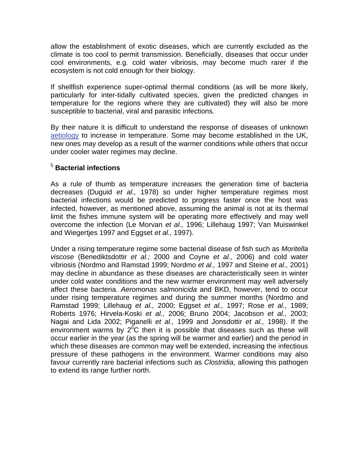allow the establishment of exotic diseases, which are currently excluded as the climate is too cool to permit transmission. Beneficially, diseases that occur under cool environments, e.g. cold water vibriosis, may become much rarer if the ecosystem is not cold enough for their biology.

If shellfish experience super-optimal thermal conditions (as will be more likely, particularly for inter-tidally cultivated species, given the predicted changes in temperature for the regions where they are cultivated) they will also be more susceptible to bacterial, viral and parasitic infections.

By their nature it is difficult to understand the response of diseases of unknown [aetiology](http://www.mccip.org.uk/arc/glossary.htm) to increase in temperature. Some may become established in the UK, new ones may develop as a result of the warmer conditions while others that occur under cooler water regimes may decline.

### 5  **Bacterial infections**

As a rule of thumb as temperature increases the generation time of bacteria decreases (Duguid *et al.,* 1978) so under higher temperature regimes most bacterial infections would be predicted to progress faster once the host was infected, however, as mentioned above, assuming the animal is not at its thermal limit the fishes immune system will be operating more effectively and may well overcome the infection (Le Morvan *et al.,* 1996; Lillehaug 1997; Van Muiswinkel and Wiegertjes 1997 and Eggset *et al.,* 1997).

Under a rising temperature regime some bacterial disease of fish such as *Moritella viscose* (Benediktsdottir *et al.;* 2000 and Coyne *et al.,* 2006) and cold water vibriosis (Nordmo and Ramstad 1999; Nordmo *et al.,* 1997 and Steine *et al.,* 2001) may decline in abundance as these diseases are characteristically seen in winter under cold water conditions and the new warmer environment may well adversely affect these bacteria. *Aeromonas salmonicida* and BKD, however, tend to occur under rising temperature regimes and during the summer months (Nordmo and Ramstad 1999; Lillehaug *et al.,* 2000; Eggset *et al.,* 1997; Rose *et al.,* 1989; Roberts 1976; Hirvela-Koski *et al.,* 2006; Bruno 2004; Jacobson *et al.,* 2003; Nagai and Lida 2002; Piganelli *et al.,* 1999 and Jonsdottir *et al.,* 1998). If the environment warms by  $2^{o}C$  then it is possible that diseases such as these will occur earlier in the year (as the spring will be warmer and earlier) and the period in which these diseases are common may well be extended, increasing the infectious pressure of these pathogens in the environment. Warmer conditions may also favour currently rare bacterial infections such as *Clostridia*, allowing this pathogen to extend its range further north.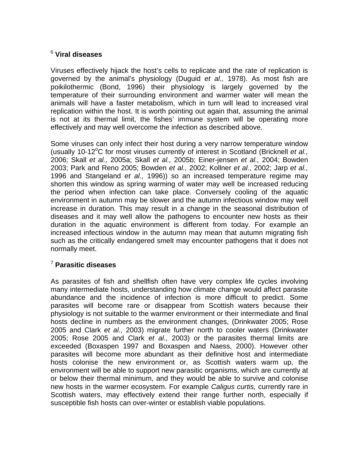### 6  **Viral diseases**

Viruses effectively hijack the host's cells to replicate and the rate of replication is governed by the animal's physiology (Duguid *et al.,* 1978). As most fish are poikilothermic (Bond, 1996) their physiology is largely governed by the temperature of their surrounding environment and warmer water will mean the animals will have a faster metabolism, which in turn will lead to increased viral replication within the host. It is worth pointing out again that, assuming the animal is not at its thermal limit, the fishes' immune system will be operating more effectively and may well overcome the infection as described above.

Some viruses can only infect their host during a very narrow temperature window (usually 10-12°C for most viruses currently of interest in Scotland (Bricknell *et al.,* 2006; Skall *et al.,* 2005a; Skall *et al.,* 2005b; Einer-jensen *et al.,* 2004; Bowden 2003; Park and Reno 2005; Bowden *et al.,* 2002; Kollner *et al.,* 2002; Jarp *et al.,* 1996 and Stangeland *et al.,* 1996)) so an increased temperature regime may shorten this window as spring warming of water may well be increased reducing the period when infection can take place. Conversely cooling of the aquatic environment in autumn may be slower and the autumn infectious window may well increase in duration. This may result in a change in the seasonal distribution of diseases and it may well allow the pathogens to encounter new hosts as their duration in the aquatic environment is different from today. For example an increased infectious window in the autumn may mean that autumn migrating fish such as the critically endangered smelt may encounter pathogens that it does not normally meet.

### <sup>7</sup> **Parasitic diseases**

As parasites of fish and shellfish often have very complex life cycles involving many intermediate hosts, understanding how climate change would affect parasite abundance and the incidence of infection is more difficult to predict. Some parasites will become rare or disappear from Scottish waters because their physiology is not suitable to the warmer environment or their intermediate and final hosts decline in numbers as the environment changes, (Drinkwater 2005; Rose 2005 and Clark *et al.,* 2003) migrate further north to cooler waters (Drinkwater 2005; Rose 2005 and Clark *et al.,* 2003) or the parasites thermal limits are exceeded (Boxaspen 1997 and Boxaspen and Naess, 2000). However other parasites will become more abundant as their definitive host and intermediate hosts colonise the new environment or, as Scottish waters warm up, the environment will be able to support new parasitic organisms, which are currently at or below their thermal minimum, and they would be able to survive and colonise new hosts in the warmer ecosystem. For example *Caligus curtis,* currently rare in Scottish waters, may effectively extend their range further north, especially if susceptible fish hosts can over-winter or establish viable populations.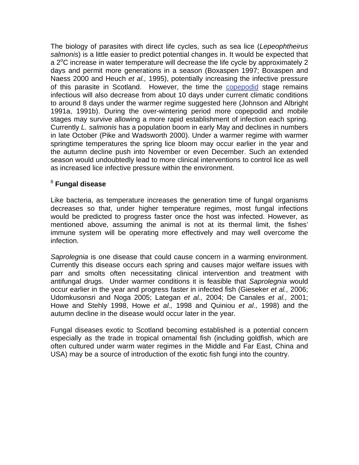The biology of parasites with direct life cycles, such as sea lice (*Lepeophtheirus salmonis*) is a little easier to predict potential changes in. It would be expected that a  $2^{\circ}$ C increase in water temperature will decrease the life cycle by approximately 2 days and permit more generations in a season (Boxaspen 1997; Boxaspen and Naess 2000 and Heuch *et al.,* 1995), potentially increasing the infective pressure of this parasite in Scotland. However, the time the [copepodid](http://www.mccip.org.uk/arc/glossary.htm) stage remains infectious will also decrease from about 10 days under current climatic conditions to around 8 days under the warmer regime suggested here (Johnson and Albright 1991a, 1991b). During the over-wintering period more copepodid and mobile stages may survive allowing a more rapid establishment of infection each spring. Currently *L. salmonis* has a population boom in early May and declines in numbers in late October (Pike and Wadsworth 2000). Under a warmer regime with warmer springtime temperatures the spring lice bloom may occur earlier in the year and the autumn decline push into November or even December. Such an extended season would undoubtedly lead to more clinical interventions to control lice as well as increased lice infective pressure within the environment.

#### 8  **Fungal disease**

Like bacteria, as temperature increases the generation time of fungal organisms decreases so that, under higher temperature regimes, most fungal infections would be predicted to progress faster once the host was infected. However, as mentioned above, assuming the animal is not at its thermal limit, the fishes' immune system will be operating more effectively and may well overcome the infection.

*Saprolegnia* is one disease that could cause concern in a warming environment. Currently this disease occurs each spring and causes major welfare issues with parr and smolts often necessitating clinical intervention and treatment with antifungal drugs. Under warmer conditions it is feasible that *Saprolegnia* would occur earlier in the year and progress faster in infected fish (Gieseker *et al.,* 2006; Udomkusonsri and Noga 2005; Lategan *et al.,* 2004; De Canales *et al.,* 2001; Howe and Stehly 1998, Howe *et al.,* 1998 and Quiniou *et al.,* 1998) and the autumn decline in the disease would occur later in the year.

Fungal diseases exotic to Scotland becoming established is a potential concern especially as the trade in tropical ornamental fish (including goldfish, which are often cultured under warm water regimes in the Middle and Far East, China and USA) may be a source of introduction of the exotic fish fungi into the country.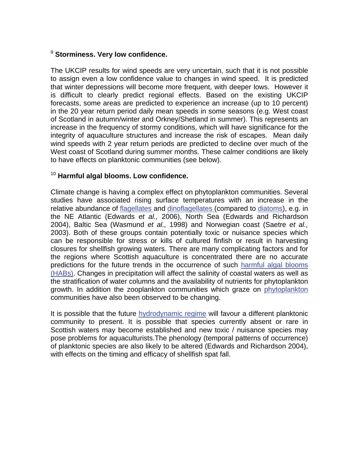#### <sup>9</sup> **Storminess. Very low confidence.**

The UKCIP results for wind speeds are very uncertain, such that it is not possible to assign even a low confidence value to changes in wind speed. It is predicted that winter depressions will become more frequent, with deeper lows. However it is difficult to clearly predict regional effects. Based on the existing UKCIP forecasts, some areas are predicted to experience an increase (up to 10 percent) in the 20 year return period daily mean speeds in some seasons (e.g. West coast of Scotland in autumn/winter and Orkney/Shetland in summer). This represents an increase in the frequency of stormy conditions, which will have significance for the integrity of aquaculture structures and increase the risk of escapes. Mean daily wind speeds with 2 year return periods are predicted to decline over much of the West coast of Scotland during summer months. These calmer conditions are likely to have effects on planktonic communities (see below).

#### <sup>10</sup> **Harmful algal blooms. Low confidence.**

Climate change is having a complex effect on phytoplankton communities. Several studies have associated rising surface temperatures with an increase in the relative abundance of [flagellates and dinoflagellates \(compared to diatoms\),](http://www.mccip.org.uk/arc/glossary.htm) e.g. in the NE Atlantic (Edwards *et al.,* 2006), North Sea (Edwards and Richardson 2004), Baltic Sea (Wasmund *et al.,* 1998) and Norwegian coast (Saetre *et al.,* 2003). Both of these groups contain potentially toxic or nuisance species which can be responsible for stress or kills of cultured finfish or result in harvesting closures for shellfish growing waters. There are many complicating factors and for the regions where Scottish aquaculture is concentrated there are no accurate predictions for the future trends in the occurrence of such [harmful algal blooms](http://www.mccip.org.uk/arc/glossary.htm)  [\(HABs\).](http://www.mccip.org.uk/arc/glossary.htm) Changes in precipitation will affect the salinity of coastal waters as well as the stratification of water columns and the availability of nutrients for phytoplankton growth. In addition the zooplankton communities which graze on [phytoplankton](http://www.mccip.org.uk/arc/glossary.htm) communities have also been observed to be changing.

It is possible that the future [hydrodynamic regime](http://www.mccip.org.uk/arc/glossary.htm) will favour a different planktonic community to present. It is possible that species currently absent or rare in Scottish waters may become established and new toxic / nuisance species may pose problems for aquaculturists.The phenology (temporal patterns of occurrence) of planktonic species are also likely to be altered (Edwards and Richardson 2004), with effects on the timing and efficacy of shellfish spat fall.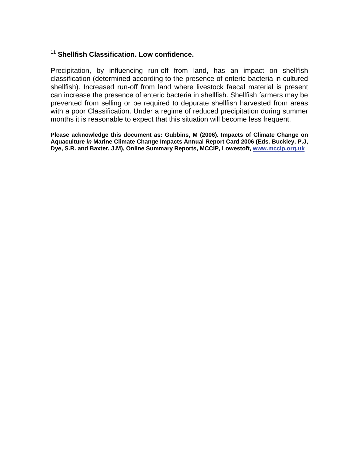## <sup>11</sup> **Shellfish Classification. Low confidence.**

Precipitation, by influencing run-off from land, has an impact on shellfish classification (determined according to the presence of enteric bacteria in cultured shellfish). Increased run-off from land where livestock faecal material is present can increase the presence of enteric bacteria in shellfish. Shellfish farmers may be prevented from selling or be required to depurate shellfish harvested from areas with a poor Classification. Under a regime of reduced precipitation during summer months it is reasonable to expect that this situation will become less frequent.

**Please acknowledge this document as: Gubbins, M (2006). Impacts of Climate Change on Aquaculture** *in* **Marine Climate Change Impacts Annual Report Card 2006 (Eds. Buckley, P.J, Dye, S.R. and Baxter, J.M), Online Summary Reports, MCCIP, Lowestoft, [www.mccip.org.uk](http://www.mccip.org.uk/)**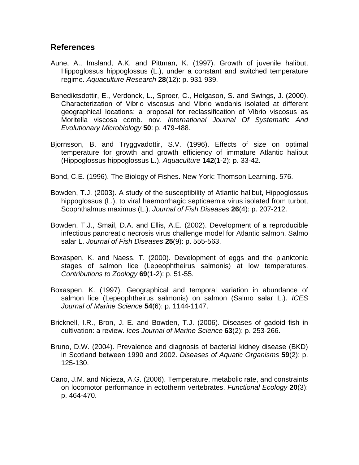## **References**

- Aune, A., Imsland, A.K. and Pittman, K. (1997). Growth of juvenile halibut, Hippoglossus hippoglossus (L.), under a constant and switched temperature regime. *Aquaculture Research* **28**(12): p. 931-939.
- Benediktsdottir, E., Verdonck, L., Sproer, C., Helgason, S. and Swings, J. (2000). Characterization of Vibrio viscosus and Vibrio wodanis isolated at different geographical locations: a proposal for reclassification of Vibrio viscosus as Moritella viscosa comb. nov. *International Journal Of Systematic And Evolutionary Microbiology* **50**: p. 479-488.
- Bjornsson, B. and Tryggvadottir, S.V. (1996). Effects of size on optimal temperature for growth and growth efficiency of immature Atlantic halibut (Hippoglossus hippoglossus L.). *Aquaculture* **142**(1-2): p. 33-42.
- Bond, C.E. (1996). The Biology of Fishes. New York: Thomson Learning. 576.
- Bowden, T.J. (2003). A study of the susceptibility of Atlantic halibut, Hippoglossus hippoglossus (L.), to viral haemorrhagic septicaemia virus isolated from turbot, Scophthalmus maximus (L.). *Journal of Fish Diseases* **26**(4): p. 207-212.
- Bowden, T.J., Smail, D.A. and Ellis, A.E. (2002). Development of a reproducible infectious pancreatic necrosis virus challenge model for Atlantic salmon, Salmo salar L. *Journal of Fish Diseases* **25**(9): p. 555-563.
- Boxaspen, K. and Naess, T. (2000). Development of eggs and the planktonic stages of salmon lice (Lepeophtheirus salmonis) at low temperatures. *Contributions to Zoology* **69**(1-2): p. 51-55.
- Boxaspen, K. (1997). Geographical and temporal variation in abundance of salmon lice (Lepeophtheirus salmonis) on salmon (Salmo salar L.). *ICES Journal of Marine Science* **54**(6): p. 1144-1147.
- Bricknell, I.R., Bron, J. E. and Bowden, T.J. (2006). Diseases of gadoid fish in cultivation: a review. *Ices Journal of Marine Science* **63**(2): p. 253-266.
- Bruno, D.W. (2004). Prevalence and diagnosis of bacterial kidney disease (BKD) in Scotland between 1990 and 2002. *Diseases of Aquatic Organisms* **59**(2): p. 125-130.
- Cano, J.M. and Nicieza, A.G. (2006). Temperature, metabolic rate, and constraints on locomotor performance in ectotherm vertebrates. *Functional Ecology* **20**(3): p. 464-470.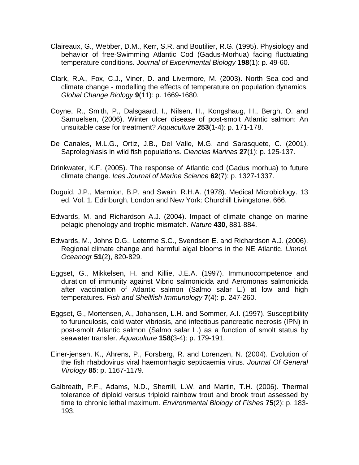- Claireaux, G., Webber, D.M., Kerr, S.R. and Boutilier, R.G. (1995). Physiology and behavior of free-Swimming Atlantic Cod (Gadus-Morhua) facing fluctuating temperature conditions. *Journal of Experimental Biology* **198**(1): p. 49-60.
- Clark, R.A., Fox, C.J., Viner, D. and Livermore, M. (2003). North Sea cod and climate change - modelling the effects of temperature on population dynamics. *Global Change Biology* **9**(11): p. 1669-1680.
- Coyne, R., Smith, P., Dalsgaard, I., Nilsen, H., Kongshaug, H., Bergh, O. and Samuelsen, (2006). Winter ulcer disease of post-smolt Atlantic salmon: An unsuitable case for treatment? *Aquaculture* **253**(1-4): p. 171-178.
- De Canales, M.L.G., Ortiz, J.B., Del Valle, M.G. and Sarasquete, C. (2001). Saprolegniasis in wild fish populations. *Ciencias Marinas* **27**(1): p. 125-137.
- Drinkwater, K.F. (2005). The response of Atlantic cod (Gadus morhua) to future climate change. *Ices Journal of Marine Science* **62**(7): p. 1327-1337.
- Duguid, J.P., Marmion, B.P. and Swain, R.H.A. (1978). Medical Microbiology. 13 ed. Vol. 1. Edinburgh, London and New York: Churchill Livingstone. 666.
- Edwards, M. and Richardson A.J. (2004). Impact of climate change on marine pelagic phenology and trophic mismatch. *Nature* **430**, 881-884.
- Edwards, M., Johns D.G., Leterme S.C., Svendsen E. and Richardson A.J. (2006). Regional climate change and harmful algal blooms in the NE Atlantic. *Limnol. Oceanogr* **51**(2), 820-829.
- Eggset, G., Mikkelsen, H. and Killie, J.E.A. (1997). Immunocompetence and duration of immunity against Vibrio salmonicida and Aeromonas salmonicida after vaccination of Atlantic salmon (Salmo salar L.) at low and high temperatures. *Fish and Shellfish Immunology* **7**(4): p. 247-260.
- Eggset, G., Mortensen, A., Johansen, L.H. and Sommer, A.I. (1997). Susceptibility to furunculosis, cold water vibriosis, and infectious pancreatic necrosis (IPN) in post-smolt Atlantic salmon (Salmo salar L.) as a function of smolt status by seawater transfer. *Aquaculture* **158**(3-4): p. 179-191.
- Einer-jensen, K., Ahrens, P., Forsberg, R. and Lorenzen, N. (2004). Evolution of the fish rhabdovirus viral haemorrhagic septicaemia virus. *Journal Of General Virology* **85**: p. 1167-1179.
- Galbreath, P.F., Adams, N.D., Sherrill, L.W. and Martin, T.H. (2006). Thermal tolerance of diploid versus triploid rainbow trout and brook trout assessed by time to chronic lethal maximum. *Environmental Biology of Fishes* **75**(2): p. 183- 193.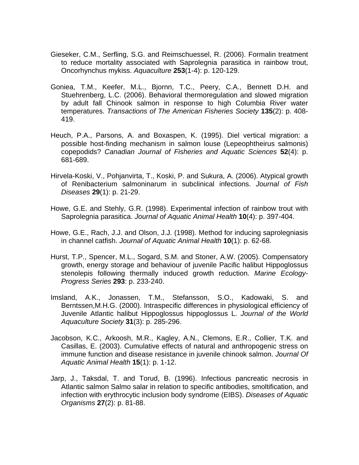- Gieseker, C.M., Serfling, S.G. and Reimschuessel, R. (2006). Formalin treatment to reduce mortality associated with Saprolegnia parasitica in rainbow trout, Oncorhynchus mykiss. *Aquaculture* **253**(1-4): p. 120-129.
- Goniea, T.M., Keefer, M.L., Bjornn, T.C., Peery, C.A., Bennett D.H. and Stuehrenberg, L.C. (2006). Behavioral thermoregulation and slowed migration by adult fall Chinook salmon in response to high Columbia River water temperatures. *Transactions of The American Fisheries Society* **135**(2): p. 408- 419.
- Heuch, P.A., Parsons, A. and Boxaspen, K. (1995). Diel vertical migration: a possible host-finding mechanism in salmon louse (Lepeophtheirus salmonis) copepodids? *Canadian Journal of Fisheries and Aquatic Sciences* **52**(4): p. 681-689.
- Hirvela-Koski, V., Pohjanvirta, T., Koski, P. and Sukura, A. (2006). Atypical growth of Renibacterium salmoninarum in subclinical infections. *Journal of Fish Diseases* **29**(1): p. 21-29.
- Howe, G.E. and Stehly, G.R. (1998). Experimental infection of rainbow trout with Saprolegnia parasitica. *Journal of Aquatic Animal Health* **10**(4): p. 397-404.
- Howe, G.E., Rach, J.J. and Olson, J.J. (1998). Method for inducing saprolegniasis in channel catfish. *Journal of Aquatic Animal Health* **10**(1): p. 62-68.
- Hurst, T.P., Spencer, M.L., Sogard, S.M. and Stoner, A.W. (2005). Compensatory growth, energy storage and behaviour of juvenile Pacific halibut Hippoglossus stenolepis following thermally induced growth reduction. *Marine Ecology-Progress Series* **293**: p. 233-240.
- Imsland, A.K., Jonassen, T.M., Stefansson, S.O., Kadowaki, S. and Berntssen,M.H.G. (2000). Intraspecific differences in physiological efficiency of Juvenile Atlantic halibut Hippoglossus hippoglossus L. *Journal of the World Aquaculture Society* **31**(3): p. 285-296.
- Jacobson, K.C., Arkoosh, M.R., Kagley, A.N., Clemons, E.R., Collier, T.K. and Casillas, E. (2003). Cumulative effects of natural and anthropogenic stress on immune function and disease resistance in juvenile chinook salmon. *Journal Of Aquatic Animal Health* **15**(1): p. 1-12.
- Jarp, J., Taksdal, T. and Torud, B. (1996). Infectious pancreatic necrosis in Atlantic salmon Salmo salar in relation to specific antibodies, smoltification, and infection with erythrocytic inclusion body syndrome (EIBS). *Diseases of Aquatic Organisms* **27**(2): p. 81-88.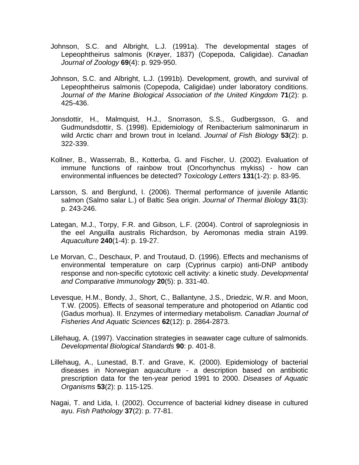- Johnson, S.C. and Albright, L.J. (1991a). The developmental stages of Lepeophtheirus salmonis (Krøyer, 1837) (Copepoda, Caligidae). *Canadian Journal of Zoology* **69**(4): p. 929-950.
- Johnson, S.C. and Albright, L.J. (1991b). Development, growth, and survival of Lepeophtheirus salmonis (Copepoda, Caligidae) under laboratory conditions. *Journal of the Marine Biological Association of the United Kingdom* **71**(2): p. 425-436.
- Jonsdottir, H., Malmquist, H.J., Snorrason, S.S., Gudbergsson, G. and Gudmundsdottir, S. (1998). Epidemiology of Renibacterium salmoninarum in wild Arctic charr and brown trout in Iceland. *Journal of Fish Biology* **53**(2): p. 322-339.
- Kollner, B., Wasserrab, B., Kotterba, G. and Fischer, U. (2002). Evaluation of immune functions of rainbow trout (Oncorhynchus mykiss) - how can environmental influences be detected? *Toxicology Letters* **131**(1-2): p. 83-95.
- Larsson, S. and Berglund, I. (2006). Thermal performance of juvenile Atlantic salmon (Salmo salar L.) of Baltic Sea origin. *Journal of Thermal Biology* **31**(3): p. 243-246.
- Lategan, M.J., Torpy, F.R. and Gibson, L.F. (2004). Control of saprolegniosis in the eel Anguilla australis Richardson, by Aeromonas media strain A199. *Aquaculture* **240**(1-4): p. 19-27.
- Le Morvan, C., Deschaux, P. and Troutaud, D. (1996). Effects and mechanisms of environmental temperature on carp (Cyprinus carpio) anti-DNP antibody response and non-specific cytotoxic cell activity: a kinetic study. *Developmental and Comparative Immunology* **20**(5): p. 331-40.
- Levesque, H.M., Bondy, J., Short, C., Ballantyne, J.S., Driedzic, W.R. and Moon, T.W. (2005). Effects of seasonal temperature and photoperiod on Atlantic cod (Gadus morhua). II. Enzymes of intermediary metabolism. *Canadian Journal of Fisheries And Aquatic Sciences* **62**(12): p. 2864-2873.
- Lillehaug, A. (1997). Vaccination strategies in seawater cage culture of salmonids. *Developmental Biological Standards* **90**: p. 401-8.
- Lillehaug, A., Lunestad, B.T. and Grave, K. (2000). Epidemiology of bacterial diseases in Norwegian aquaculture - a description based on antibiotic prescription data for the ten-year period 1991 to 2000. *Diseases of Aquatic Organisms* **53**(2): p. 115-125.
- Nagai, T. and Lida, I. (2002). Occurrence of bacterial kidney disease in cultured ayu. *Fish Pathology* **37**(2): p. 77-81.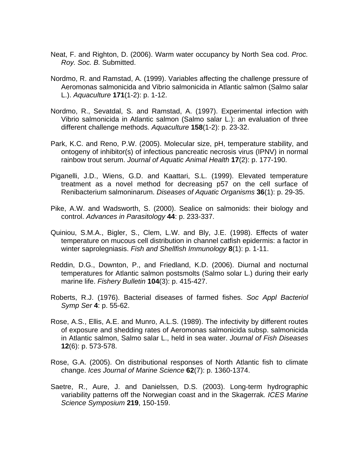- Neat, F. and Righton, D. (2006). Warm water occupancy by North Sea cod. *Proc. Roy. Soc. B.* Submitted.
- Nordmo, R. and Ramstad, A. (1999). Variables affecting the challenge pressure of Aeromonas salmonicida and Vibrio salmonicida in Atlantic salmon (Salmo salar L.). *Aquaculture* **171**(1-2): p. 1-12.
- Nordmo, R., Sevatdal, S. and Ramstad, A. (1997). Experimental infection with Vibrio salmonicida in Atlantic salmon (Salmo salar L.): an evaluation of three different challenge methods. *Aquaculture* **158**(1-2): p. 23-32.
- Park, K.C. and Reno, P.W. (2005). Molecular size, pH, temperature stability, and ontogeny of inhibitor(s) of infectious pancreatic necrosis virus (IPNV) in normal rainbow trout serum. *Journal of Aquatic Animal Health* **17**(2): p. 177-190.
- Piganelli, J.D., Wiens, G.D. and Kaattari, S.L. (1999). Elevated temperature treatment as a novel method for decreasing p57 on the cell surface of Renibacterium salmoninarum. *Diseases of Aquatic Organisms* **36**(1): p. 29-35.
- Pike, A.W. and Wadsworth, S. (2000). Sealice on salmonids: their biology and control. *Advances in Parasitology* **44**: p. 233-337.
- Quiniou, S.M.A., Bigler, S., Clem, L.W. and Bly, J.E. (1998). Effects of water temperature on mucous cell distribution in channel catfish epidermis: a factor in winter saprolegniasis. *Fish and Shellfish Immunology* **8**(1): p. 1-11.
- Reddin, D.G., Downton, P., and Friedland, K.D. (2006). Diurnal and nocturnal temperatures for Atlantic salmon postsmolts (Salmo solar L.) during their early marine life. *Fishery Bulletin* **104**(3): p. 415-427.
- Roberts, R.J. (1976). Bacterial diseases of farmed fishes. *Soc Appl Bacteriol Symp Ser* **4**: p. 55-62.
- Rose, A.S., Ellis, A.E. and Munro, A.L.S. (1989). The infectivity by different routes of exposure and shedding rates of Aeromonas salmonicida subsp. salmonicida in Atlantic salmon, Salmo salar L., held in sea water. *Journal of Fish Diseases* **12**(6): p. 573-578.
- Rose, G.A. (2005). On distributional responses of North Atlantic fish to climate change. *Ices Journal of Marine Science* **62**(7): p. 1360-1374.
- Saetre, R., Aure, J. and Danielssen, D.S. (2003). Long-term hydrographic variability patterns off the Norwegian coast and in the Skagerrak*. ICES Marine Science Symposium* **219**, 150-159.